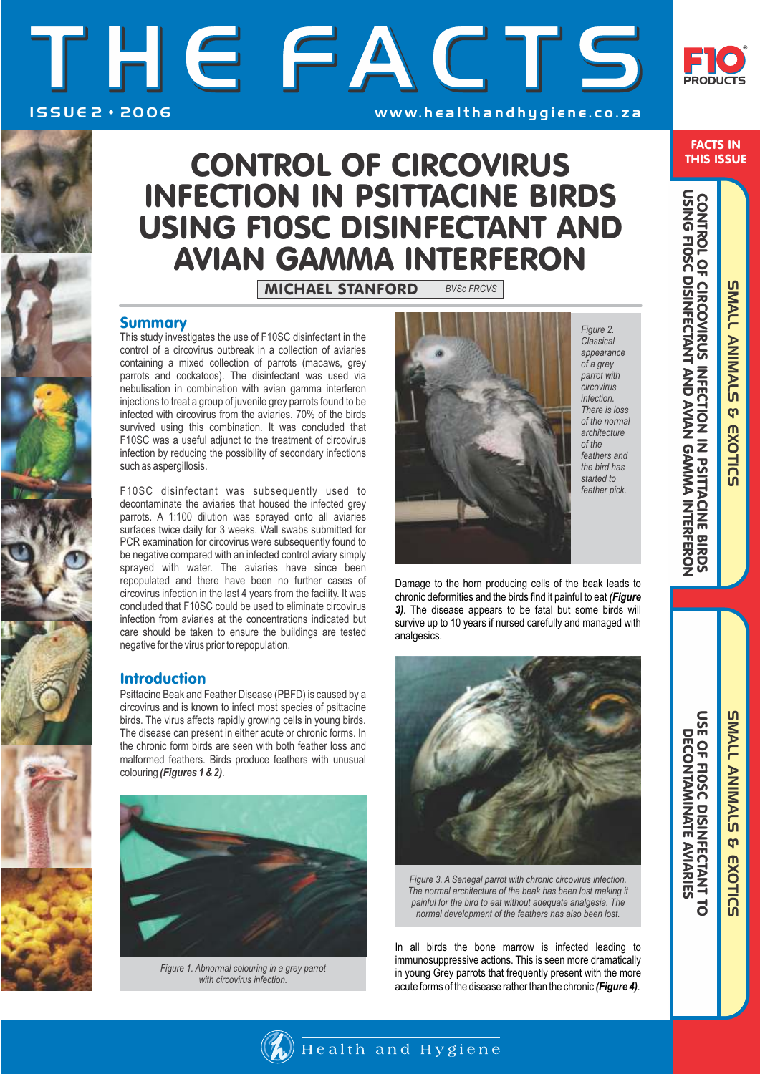FACTS IN THIS ISSUE

 $\subset$ <u>으</u>

# I S S U E 2 • 2 0 0 6 THE FACTS w w w. h e a l t h a n d h y g i e n e . c o . z a



# CONTROL OF CIRCOVIRUS INFECTION IN PSITTACINE BIRDS USING F10SC DISINFECTANT AND AVIAN GAMMA INTERFERON

### Summary

This study investigates the use of F10SC disinfectant in the control of a circovirus outbreak in a collection of aviaries containing a mixed collection of parrots (macaws, grey parrots and cockatoos). The disinfectant was used via nebulisation in combination with avian gamma interferon injections to treat a group of juvenile grey parrots found to be infected with circovirus from the aviaries. 70% of the birds survived using this combination. It was concluded that F10SC was a useful adjunct to the treatment of circovirus infection by reducing the possibility of secondary infections such as aspergillosis.

F10SC disinfectant was subsequently used to decontaminate the aviaries that housed the infected grey parrots. A 1:100 dilution was sprayed onto all aviaries surfaces twice daily for 3 weeks. Wall swabs submitted for PCR examination for circovirus were subsequently found to be negative compared with an infected control aviary simply sprayed with water. The aviaries have since been repopulated and there have been no further cases of circovirus infection in the last 4 years from the facility. It was concluded that F10SC could be used to eliminate circovirus infection from aviaries at the concentrations indicated but care should be taken to ensure the buildings are tested negative for the virus prior to repopulation.

### Introduction

Psittacine Beak and Feather Disease (PBFD) is caused by a circovirus and is known to infect most species of psittacine birds. The virus affects rapidly growing cells in young birds. The disease can present in either acute or chronic forms. In the chronic form birds are seen with both feather loss and malformed feathers. Birds produce feathers with unusual colouring *(Figures 1 & 2)*.



*Figure 1. Abnormal colouring in a grey parrot with circovirus infection.* 



*Figure 2. Classical appearance of a grey parrot with circovirus infection. There is loss of the normal architecture of the feathers and the bird has started to feather pick.* 

Damage to the horn producing cells of the beak leads to chronic deformities and the birds find it painful to eat *(Figure 3)*. The disease appears to be fatal but some birds will survive up to 10 years if nursed carefully and managed with analgesics.



*Figure 3. A Senegal parrot with chronic circovirus infection. The normal architecture of the beak has been lost making it painful for the bird to eat without adequate analgesia. The normal development of the feathers has also been lost.* 

In all birds the bone marrow is infected leading to immunosuppressive actions. This is seen more dramatically in young Grey parrots that frequently present with the more acute forms of the disease rather than the chronic *(Figure 4)*.

Health and Hygiene

SMALL ANIMALS & EXOTIC SMALL ANIMALS & EXOTICS

**SUALL ANIMALS** SMALL ANIMALS & EXOTIC & EXOTICS

USE OF F10SC DISINFECTANT TO DECONTAMINATE AVIARIES

USE OF F10SC DISINFECTANT TC<br>DECONTAMINATE AVIARIES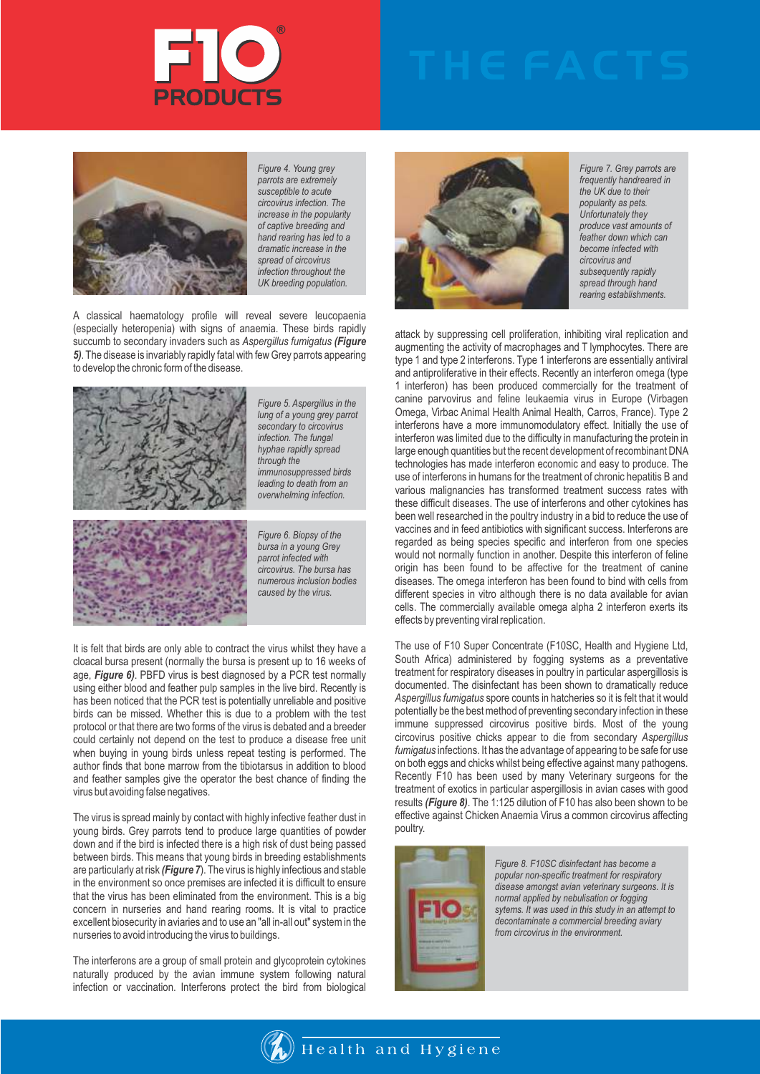



*Figure 4. Young grey parrots are extremely susceptible to acute circovirus infection. The increase in the popularity of captive breeding and hand rearing has led to a dramatic increase in the spread of circovirus infection throughout the UK breeding population.* 

A classical haematology profile will reveal severe leucopaenia (especially heteropenia) with signs of anaemia. These birds rapidly succumb to secondary invaders such as *Aspergillus fumigatus (Figure 5)*. The disease is invariably rapidly fatal with few Grey parrots appearing to develop the chronic form of the disease.



*Figure 5. Aspergillus in the lung of a young grey parrot secondary to circovirus infection. The fungal hyphae rapidly spread through the immunosuppressed birds leading to death from an overwhelming infection.*

*Figure 6. Biopsy of the bursa in a young Grey parrot infected with circovirus. The bursa has numerous inclusion bodies caused by the virus.* 

It is felt that birds are only able to contract the virus whilst they have a cloacal bursa present (normally the bursa is present up to 16 weeks of age, *Figure 6)*. PBFD virus is best diagnosed by a PCR test normally using either blood and feather pulp samples in the live bird. Recently is has been noticed that the PCR test is potentially unreliable and positive birds can be missed. Whether this is due to a problem with the test protocol or that there are two forms of the virus is debated and a breeder could certainly not depend on the test to produce a disease free unit when buying in young birds unless repeat testing is performed. The author finds that bone marrow from the tibiotarsus in addition to blood and feather samples give the operator the best chance of finding the virus but avoiding false negatives.

The virus is spread mainly by contact with highly infective feather dust in young birds. Grey parrots tend to produce large quantities of powder down and if the bird is infected there is a high risk of dust being passed between birds. This means that young birds in breeding establishments are particularly at risk *(Figure 7*). The virus is highly infectious and stable in the environment so once premises are infected it is difficult to ensure that the virus has been eliminated from the environment. This is a big concern in nurseries and hand rearing rooms. It is vital to practice excellent biosecurity in aviaries and to use an "all in-all out" system in the nurseries to avoid introducing the virus to buildings.

The interferons are a group of small protein and glycoprotein cytokines naturally produced by the avian immune system following natural infection or vaccination. Interferons protect the bird from biological



*Figure 7. Grey parrots are frequently handreared in the UK due to their popularity as pets. Unfortunately they produce vast amounts of feather down which can become infected with circovirus and subsequently rapidly spread through hand rearing establishments.* 

attack by suppressing cell proliferation, inhibiting viral replication and augmenting the activity of macrophages and T lymphocytes. There are type 1 and type 2 interferons. Type 1 interferons are essentially antiviral and antiproliferative in their effects. Recently an interferon omega (type 1 interferon) has been produced commercially for the treatment of canine parvovirus and feline leukaemia virus in Europe (Virbagen Omega, Virbac Animal Health Animal Health, Carros, France). Type 2 interferons have a more immunomodulatory effect. Initially the use of interferon was limited due to the difficulty in manufacturing the protein in large enough quantities but the recent development of recombinant DNA technologies has made interferon economic and easy to produce. The use of interferons in humans for the treatment of chronic hepatitis B and various malignancies has transformed treatment success rates with these difficult diseases. The use of interferons and other cytokines has been well researched in the poultry industry in a bid to reduce the use of vaccines and in feed antibiotics with significant success. Interferons are regarded as being species specific and interferon from one species would not normally function in another. Despite this interferon of feline origin has been found to be affective for the treatment of canine diseases. The omega interferon has been found to bind with cells from different species in vitro although there is no data available for avian cells. The commercially available omega alpha 2 interferon exerts its effects by preventing viral replication.

The use of F10 Super Concentrate (F10SC, Health and Hygiene Ltd, South Africa) administered by fogging systems as a preventative treatment for respiratory diseases in poultry in particular aspergillosis is documented. The disinfectant has been shown to dramatically reduce *Aspergillus fumigatus* spore counts in hatcheries so it is felt that it would potentially be the best method of preventing secondary infection in these immune suppressed circovirus positive birds. Most of the young circovirus positive chicks appear to die from secondary *Aspergillus fumigatus* infections. It has the advantage of appearing to be safe for use on both eggs and chicks whilst being effective against many pathogens. Recently F10 has been used by many Veterinary surgeons for the treatment of exotics in particular aspergillosis in avian cases with good results *(Figure 8)*. The 1:125 dilution of F10 has also been shown to be effective against Chicken Anaemia Virus a common circovirus affecting poultry.



*Figure 8. F10SC disinfectant has become a popular non-specific treatment for respiratory disease amongst avian veterinary surgeons. It is normal applied by nebulisation or fogging sytems. It was used in this study in an attempt to decontaminate a commercial breeding aviary from circovirus in the environment.* 

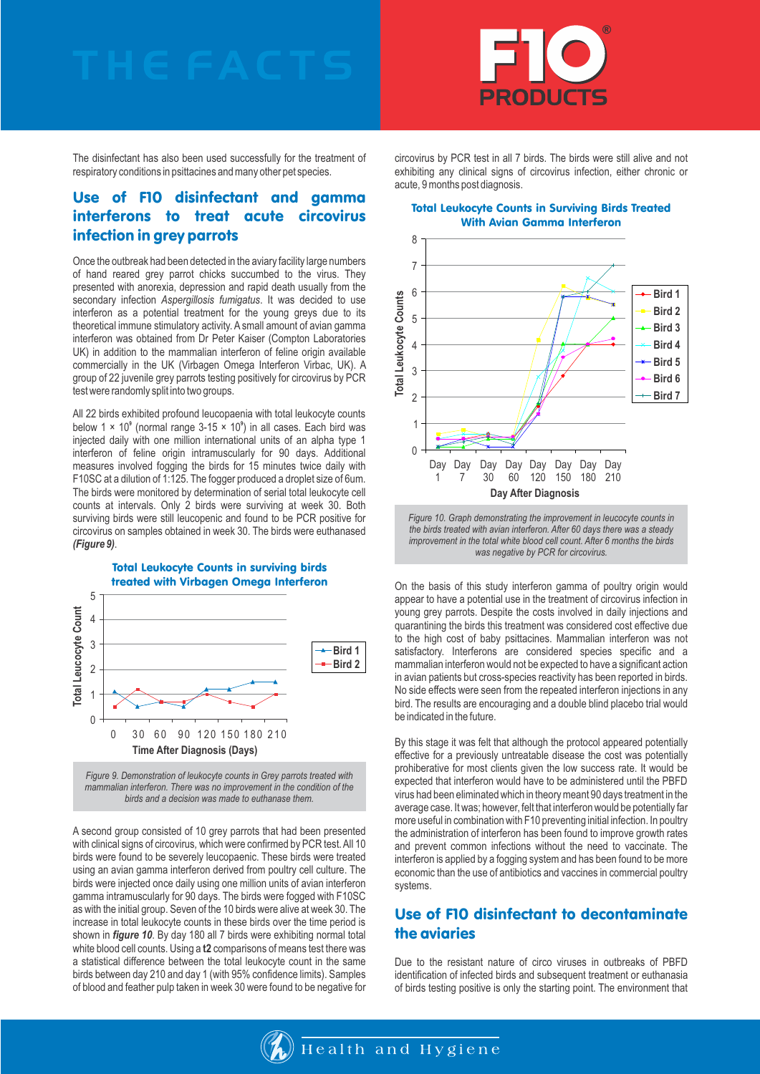

The disinfectant has also been used successfully for the treatment of respiratory conditions in psittacines and many other pet species.

## Use of F10 disinfectant and gamma interferons to treat acute circovirus infection in grey parrots

Once the outbreak had been detected in the aviary facility large numbers of hand reared grey parrot chicks succumbed to the virus. They presented with anorexia, depression and rapid death usually from the secondary infection *Aspergillosis fumigatus*. It was decided to use interferon as a potential treatment for the young greys due to its theoretical immune stimulatory activity. A small amount of avian gamma interferon was obtained from Dr Peter Kaiser (Compton Laboratories UK) in addition to the mammalian interferon of feline origin available commercially in the UK (Virbagen Omega Interferon Virbac, UK). A group of 22 juvenile grey parrots testing positively for circovirus by PCR test were randomly split into two groups.

All 22 birds exhibited profound leucopaenia with total leukocyte counts below 1  $\times$  10<sup>°</sup> (normal range 3-15  $\times$  10<sup>°</sup>) in all cases. Each bird was injected daily with one million international units of an alpha type 1 interferon of feline origin intramuscularly for 90 days. Additional measures involved fogging the birds for 15 minutes twice daily with F10SC at a dilution of 1:125. The fogger produced a droplet size of 6um. The birds were monitored by determination of serial total leukocyte cell counts at intervals. Only 2 birds were surviving at week 30. Both surviving birds were still leucopenic and found to be PCR positive for circovirus on samples obtained in week 30. The birds were euthanased *(Figure 9)*.



*Figure 9. Demonstration of leukocyte counts in Grey parrots treated with mammalian interferon. There was no improvement in the condition of the birds and a decision was made to euthanase them.*

A second group consisted of 10 grey parrots that had been presented with clinical signs of circovirus*,* which were confirmed by PCR test. All 10 birds were found to be severely leucopaenic. These birds were treated using an avian gamma interferon derived from poultry cell culture. The birds were injected once daily using one million units of avian interferon gamma intramuscularly for 90 days. The birds were fogged with F10SC as with the initial group. Seven of the 10 birds were alive at week 30. The increase in total leukocyte counts in these birds over the time period is shown in *figure 10*. By day 180 all 7 birds were exhibiting normal total white blood cell counts. Using a **t2** comparisons of means test there was a statistical difference between the total leukocyte count in the same birds between day 210 and day 1 (with 95% confidence limits). Samples of blood and feather pulp taken in week 30 were found to be negative for circovirus by PCR test in all 7 birds. The birds were still alive and not exhibiting any clinical signs of circovirus infection, either chronic or acute, 9 months post diagnosis.

#### Total Leukocyte Counts in Surviving Birds Treated With Avian Gamma Interferon



*Figure 10. Graph demonstrating the improvement in leucocyte counts in the birds treated with avian interferon. After 60 days there was a steady improvement in the total white blood cell count. After 6 months the birds was negative by PCR for circovirus.*

On the basis of this study interferon gamma of poultry origin would appear to have a potential use in the treatment of circovirus infection in young grey parrots. Despite the costs involved in daily injections and quarantining the birds this treatment was considered cost effective due to the high cost of baby psittacines. Mammalian interferon was not satisfactory. Interferons are considered species specific and a mammalian interferon would not be expected to have a significant action in avian patients but cross-species reactivity has been reported in birds. No side effects were seen from the repeated interferon injections in any bird. The results are encouraging and a double blind placebo trial would be indicated in the future.

By this stage it was felt that although the protocol appeared potentially effective for a previously untreatable disease the cost was potentially prohiberative for most clients given the low success rate. It would be expected that interferon would have to be administered until the PBFD virus had been eliminated which in theory meant 90 days treatment in the average case. It was; however, felt that interferon would be potentially far more useful in combination with F10 preventing initial infection. In poultry the administration of interferon has been found to improve growth rates and prevent common infections without the need to vaccinate. The interferon is applied by a fogging system and has been found to be more economic than the use of antibiotics and vaccines in commercial poultry systems.

## Use of F10 disinfectant to decontaminate the aviaries

Due to the resistant nature of circo viruses in outbreaks of PBFD identification of infected birds and subsequent treatment or euthanasia of birds testing positive is only the starting point. The environment that